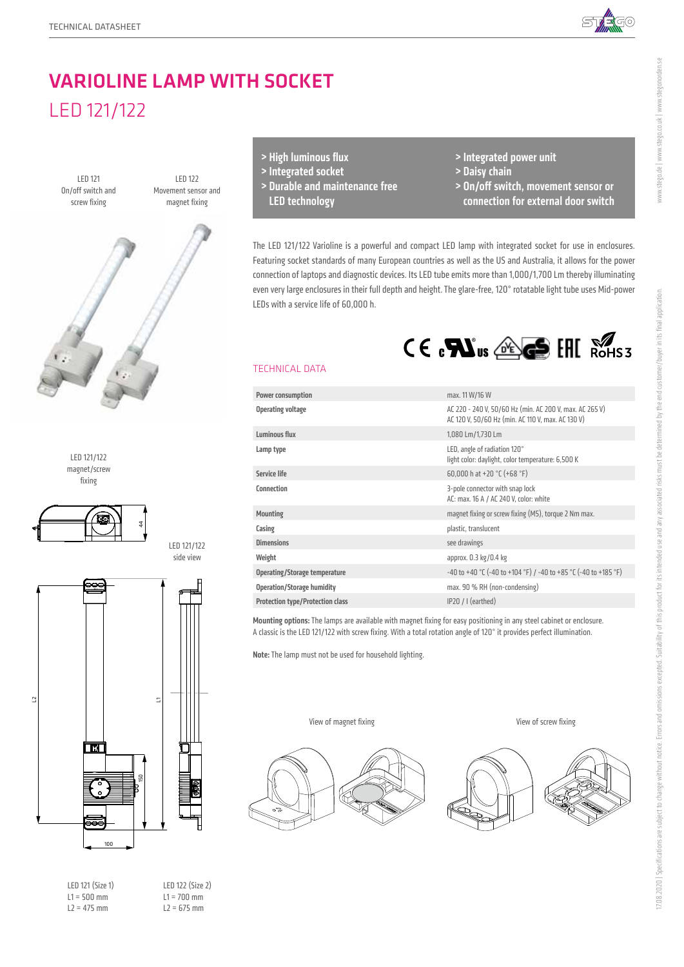

# VARIOLINE LAMP WITH SOCKET LED 121/122







LED 121 (Size 1)  $L1 = 500$  mm  $L2 = 475$  mm

LED 122 (Size 2)  $L1 = 700$  mm  $L2 = 675$  mm

LED 121/122 side view

- > High luminous flux
- > Integrated socket
- > Durable and maintenance free LED technology
- > Integrated power unit
- > Daisy chain
- > On/off switch, movement sensor or connection for external door switch

The LED 121/122 Varioline is a powerful and compact LED lamp with integrated socket for use in enclosures. Featuring socket standards of many European countries as well as the US and Australia, it allows for the power connection of laptops and diagnostic devices. Its LED tube emits more than 1,000/1,700 Lm thereby illuminating even very large enclosures in their full depth and height. The glare-free, 120° rotatable light tube uses Mid-power LEDs with a service life of 60,000 h.



#### TECHNICAL DATA

| <b>Power consumption</b>                | max. 11 W/16 W                                                                                               |
|-----------------------------------------|--------------------------------------------------------------------------------------------------------------|
| <b>Operating voltage</b>                | AC 220 - 240 V, 50/60 Hz (min. AC 200 V, max. AC 265 V)<br>AC 120 V, 50/60 Hz (min. AC 110 V, max. AC 130 V) |
| Luminous flux                           | 1,080 Lm/1,730 Lm                                                                                            |
| Lamp type                               | LED, angle of radiation 120°<br>light color: daylight, color temperature: 6,500 K                            |
| <b>Service life</b>                     | 60,000 h at +20 $°C$ (+68 $°F$ )                                                                             |
| Connection                              | 3-pole connector with snap lock<br>AC: max. 16 A / AC 240 V, color: white                                    |
| <b>Mounting</b>                         | magnet fixing or screw fixing (M5), torque 2 Nm max.                                                         |
| Casing                                  | plastic, translucent                                                                                         |
| <b>Dimensions</b>                       | see drawings                                                                                                 |
| Weight                                  | approx. 0.3 kg/0.4 kg                                                                                        |
| Operating/Storage temperature           | -40 to +40 °C (-40 to +104 °F) / -40 to +85 °C (-40 to +185 °F)                                              |
| <b>Operation/Storage humidity</b>       | max. 90 % RH (non-condensing)                                                                                |
| <b>Protection type/Protection class</b> | $IP20 / I$ (earthed)                                                                                         |

Mounting options: The lamps are available with magnet fixing for easy positioning in any steel cabinet or enclosure. A classic is the LED 121/122 with screw fixing. With a total rotation angle of 120° it provides perfect illumination.

Note: The lamp must not be used for household lighting.

View of magnet fixing



View of screw fixing



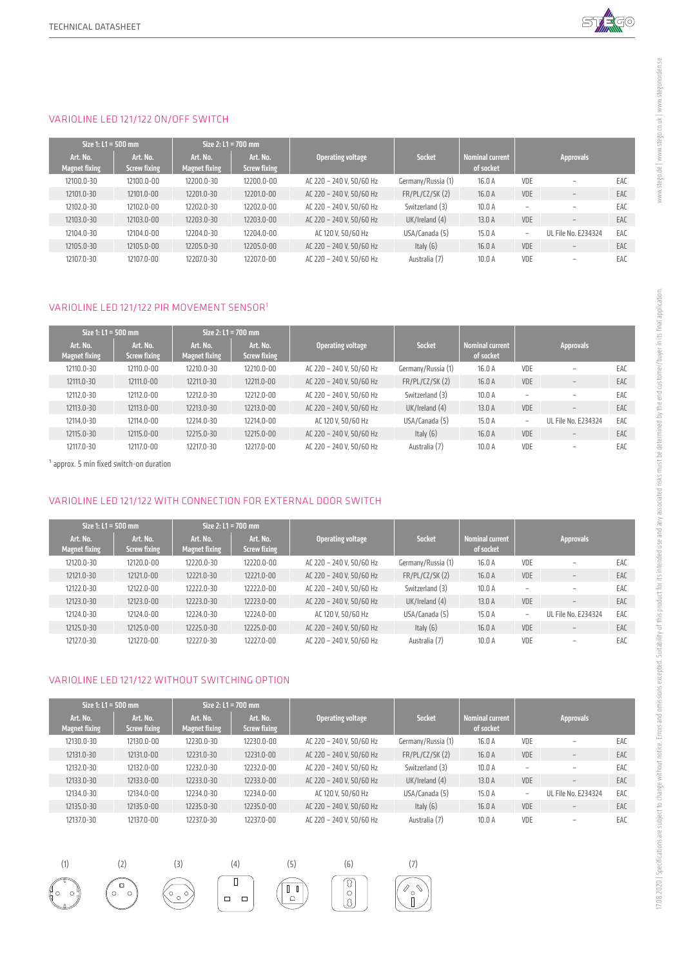

## VARIOLINE LED 121/122 ON/OFF SWITCH

|  | Size 1: L1 = 500 mm              | Size $2:11 = 700$ mm            |                                  |                                 |                          |                     |                                     |                 |                          |     |
|--|----------------------------------|---------------------------------|----------------------------------|---------------------------------|--------------------------|---------------------|-------------------------------------|-----------------|--------------------------|-----|
|  | Art. No.<br><b>Magnet fixing</b> | Art. No.<br><b>Screw fixing</b> | Art. No.<br><b>Magnet fixing</b> | Art. No.<br><b>Screw fixing</b> | Operating voltage        | <b>Socket</b>       | <b>Nominal current</b><br>of socket |                 | <b>Approvals</b>         |     |
|  | 12100.0-30                       | 12100.0-00                      | 12200.0-30                       | 12200.0-00                      | AC 220 - 240 V. 50/60 Hz | Germany/Russia (1)  | 16.0 A                              | VDE             | $\overline{\phantom{a}}$ | EAC |
|  | 12101.0-30                       | 12101.0-00                      | 12201.0-30                       | 12201.0-00                      | AC 220 - 240 V, 50/60 Hz | FR/PL/CL/SK(2)      | 16.0A                               | <b>VDE</b>      | $\qquad \qquad -$        | EAC |
|  | 12102.0-30                       | 12102.0-00                      | 12202.0-30                       | 12202.0-00                      | AC 220 - 240 V. 50/60 Hz | Switzerland (3)     | 10.0A                               |                 | $\overline{\phantom{a}}$ | EAC |
|  | 12103.0-30                       | 12103.0-00                      | 12203.0-30                       | 12203.0-00                      | AC 220 - 240 V. 50/60 Hz | $UK/I$ reland $(4)$ | 13.0 A                              | VDE             | $\sim$                   | EAC |
|  | 12104.0-30                       | 12104.0-00                      | 12204.0-30                       | 12204.0-00                      | AC 120 V. 50/60 Hz       | USA/Canada (5)      | 15.0 A                              | $\qquad \qquad$ | UL File No. E234324      | EAC |
|  | 12105.0-30                       | 12105.0-00                      | 12205.0-30                       | 12205.0-00                      | AC 220 - 240 V. 50/60 Hz | Italy $(6)$         | 16.0A                               | <b>VDE</b>      | $\qquad \qquad$          | EAC |
|  | 12107.0-30                       | 12107.0-00                      | 12207.0-30                       | 12207.0-00                      | AC 220 - 240 V. 50/60 Hz | Australia (7)       | 10.0A                               | VDE             | $\overline{\phantom{a}}$ | EAC |

## VARIOLINE LED 121/122 PIR MOVEMENT SENSOR1

| Size 1: L1 = 500 mm              |                                 | Size 2: $L1 = 700$ mm            |                          |                          |                     |                                     |                          |                            |     |
|----------------------------------|---------------------------------|----------------------------------|--------------------------|--------------------------|---------------------|-------------------------------------|--------------------------|----------------------------|-----|
| Art. No.<br><b>Magnet fixing</b> | Art. No.<br><b>Screw fixing</b> | Art. No.<br><b>Magnet fixing</b> | Art. No.<br>Screw fixing | Operating voltage        | <b>Socket</b>       | <b>Nominal current</b><br>of socket |                          | <b>Approvals</b>           |     |
| 12110.0-30                       | 12110.0-00                      | 12210.0-30                       | 12210.0-00               | AC 220 - 240 V, 50/60 Hz | Germany/Russia (1)  | 16.0A                               | VDE                      | $\overline{\phantom{a}}$   | EAC |
| 12111.0-30                       | 12111.0-00                      | 12211.0-30                       | 12211.0-00               | AC 220 - 240 V. 50/60 Hz | FR/PL/CZ/SK(2)      | 16.0A                               | VDE                      | $\overline{\phantom{a}}$   | EAC |
| 12112.0-30                       | 12112.0-00                      | 12212.0-30                       | 12212.0-00               | AC 220 - 240 V. 50/60 Hz | Switzerland (3)     | 10.0A                               | $\overline{\phantom{a}}$ | $\overline{\phantom{a}}$   | EAC |
| 12113.0-30                       | 12113.0-00                      | 12213.0-30                       | 12213.0-00               | AC 220 - 240 V. 50/60 Hz | $UK/I$ reland $(4)$ | 13.0 A                              | VDE                      | $\qquad \qquad$            | EAC |
| 12114.0-30                       | 12114.0-00                      | 12214.0-30                       | 12214.0-00               | AC 120 V. 50/60 Hz       | USA/Canada (5)      | 15.0A                               | $\overline{\phantom{0}}$ | <b>UL File No. E234324</b> | EAC |
| 12115.0-30                       | 12115.0-00                      | 12215.0-30                       | 12215.0-00               | AC 220 - 240 V, 50/60 Hz | Italy $(6)$         | 16.0A                               | <b>VDE</b>               | $\overline{\phantom{a}}$   | EAC |
| 12117.0-30                       | 12117.0-00                      | 12217.0-30                       | 12217.0-00               | AC 220 - 240 V. 50/60 Hz | Australia (7)       | 10.0A                               | VDE                      |                            | EAC |

 $<sup>1</sup>$  approx. 5 min fixed switch-on duration</sup>

## VARIOLINE LED 121/122 WITH CONNECTION FOR EXTERNAL DOOR SWITCH

| Size 1: L1 = $500$ mm |                                  |                                 | Size 2: L1 = $700$ mm            |                                 |                          |                     |                                     |        |                            |     |
|-----------------------|----------------------------------|---------------------------------|----------------------------------|---------------------------------|--------------------------|---------------------|-------------------------------------|--------|----------------------------|-----|
|                       | Art. No.<br><b>Magnet fixing</b> | Art. No.<br><b>Screw fixing</b> | Art. No.<br><b>Magnet fixing</b> | Art. No.<br><b>Screw fixing</b> | Operating voltage        | <b>Socket</b>       | <b>Nominal current</b><br>of socket |        | <b>Approvals</b>           |     |
|                       | 12120.0-30                       | 12120.0-00                      | 12220.0-30                       | 12220.0-00                      | AC 220 - 240 V, 50/60 Hz | Germany/Russia (1)  | 16.0 A                              | VDE    | $\overline{\phantom{a}}$   | EAC |
|                       | 12121.0-30                       | 12121.0-00                      | 12221.0-30                       | 12221.0-00                      | AC 220 - 240 V. 50/60 Hz | FR/PL/CL/SK(2)      | 16.0A                               | VDE    | $\overline{\phantom{0}}$   | EAC |
|                       | 12122.0-30                       | 12122.0-00                      | 12222.0-30                       | 12222.0-00                      | AC 220 - 240 V. 50/60 Hz | Switzerland (3)     | 10.0A                               | $\sim$ | $\overline{\phantom{a}}$   | EAC |
|                       | 12123.0-30                       | 12123.0-00                      | 12223.0-30                       | 12223.0-00                      | AC 220 - 240 V. 50/60 Hz | $UK/I$ reland $(4)$ | 13.0A                               | VDE    | $\qquad \qquad$            | EAC |
|                       | 12124.0-30                       | 12124.0-00                      | 12224.0-30                       | 12224.0-00                      | AC 120 V. 50/60 Hz       | USA/Canada (5)      | 15.0 A                              |        | <b>UL File No. E234324</b> | EAC |
|                       | 12125.0-30                       | 12125.0-00                      | 12225.0-30                       | 12225.0-00                      | AC 220 - 240 V, 50/60 Hz | Italy $(6)$         | 16.0A                               | VDE    | $\qquad \qquad$            | EAC |
|                       | 12127.0-30                       | 12127.0-00                      | 12227.0-30                       | 12227.0-00                      | AC 220 - 240 V. 50/60 Hz | Australia (7)       | 10.0A                               | VDE    | $\overline{\phantom{a}}$   | EAC |

#### VARIOLINE LED 121/122 WITHOUT SWITCHING OPTION

| Size 1: L1 = 500 mm              |                                 |                                  | Size $2:11 = 700$ mm            |                          |                     |                                     |                          |                            |     |
|----------------------------------|---------------------------------|----------------------------------|---------------------------------|--------------------------|---------------------|-------------------------------------|--------------------------|----------------------------|-----|
| Art. No.<br><b>Magnet fixing</b> | Art. No.<br><b>Screw fixing</b> | Art. No.<br><b>Magnet fixing</b> | Art. No.<br><b>Screw fixing</b> | Operating voltage        | <b>Socket</b>       | <b>Nominal current</b><br>of socket |                          | <b>Approvals</b>           |     |
| 12130.0-30                       | 12130.0-00                      | 12230.0-30                       | 12230.0-00                      | AC 220 - 240 V, 50/60 Hz | Germany/Russia (1)  | 16.0 A                              | VDE                      | $\overline{\phantom{a}}$   | EAC |
| 12131.0-30                       | 12131.0-00                      | 12231.0-30                       | 12231.0-00                      | AC 220 - 240 V. 50/60 Hz | FR/PL/CL/SK(2)      | 16.0A                               | <b>VDE</b>               | $\qquad \qquad$            | EAC |
| 12132.0-30                       | 12132.0-00                      | 12232.0-30                       | 12232.0-00                      | AC 220 - 240 V. 50/60 Hz | Switzerland (3)     | 10.0A                               | $\overline{\phantom{a}}$ | $\overline{\phantom{a}}$   | EAC |
| 12133.0-30                       | 12133.0-00                      | 12233.0-30                       | 12233.0-00                      | AC 220 - 240 V, 50/60 Hz | $UK/I$ reland $(4)$ | 13.0 A                              | <b>VDE</b>               | $\overline{\phantom{m}}$   | EAC |
| 12134.0-30                       | 12134.0-00                      | 12234.0-30                       | 12234.0-00                      | AC 120 V. 50/60 Hz       | USA/Canada (5)      | 15.0 A                              | $\overline{\phantom{0}}$ | <b>UL File No. E234324</b> | EAC |
| 12135.0-30                       | 12135.0-00                      | 12235.0-30                       | 12235.0-00                      | AC 220 - 240 V, 50/60 Hz | Italy $(6)$         | 16.0 A                              | <b>VDE</b>               | $\qquad \qquad$            | EAC |
| 12137.0-30                       | 12137.0-00                      | 12237.0-30                       | 12237.0-00                      | AC 220 - 240 V. 50/60 Hz | Australia (7)       | 10.0A                               | VDE                      | $\overline{\phantom{a}}$   | EAC |

 $\sqrt{\frac{8}{8}}$